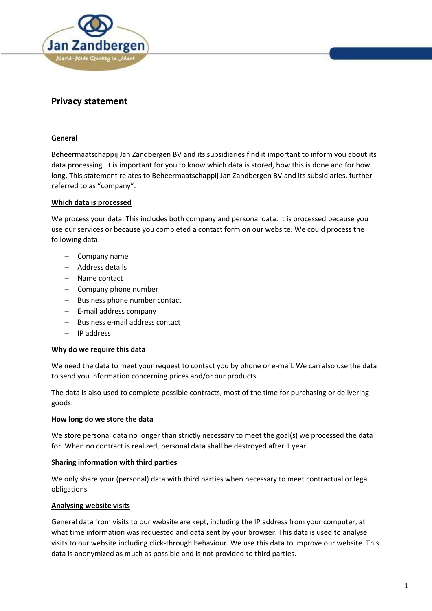

# **Privacy statement**

## **General**

Beheermaatschappij Jan Zandbergen BV and its subsidiaries find it important to inform you about its data processing. It is important for you to know which data is stored, how this is done and for how long. This statement relates to Beheermaatschappij Jan Zandbergen BV and its subsidiaries, further referred to as "company".

## **Which data is processed**

We process your data. This includes both company and personal data. It is processed because you use our services or because you completed a contact form on our website. We could process the following data:

- $-$  Company name
- Address details
- Name contact
- $-$  Company phone number
- Business phone number contact
- E-mail address company
- Business e-mail address contact
- IP address

#### **Why do we require this data**

We need the data to meet your request to contact you by phone or e-mail. We can also use the data to send you information concerning prices and/or our products.

The data is also used to complete possible contracts, most of the time for purchasing or delivering goods.

#### **How long do we store the data**

We store personal data no longer than strictly necessary to meet the goal(s) we processed the data for. When no contract is realized, personal data shall be destroyed after 1 year.

#### **Sharing information with third parties**

We only share your (personal) data with third parties when necessary to meet contractual or legal obligations

#### **Analysing website visits**

General data from visits to our website are kept, including the IP address from your computer, at what time information was requested and data sent by your browser. This data is used to analyse visits to our website including click-through behaviour. We use this data to improve our website. This data is anonymized as much as possible and is not provided to third parties.